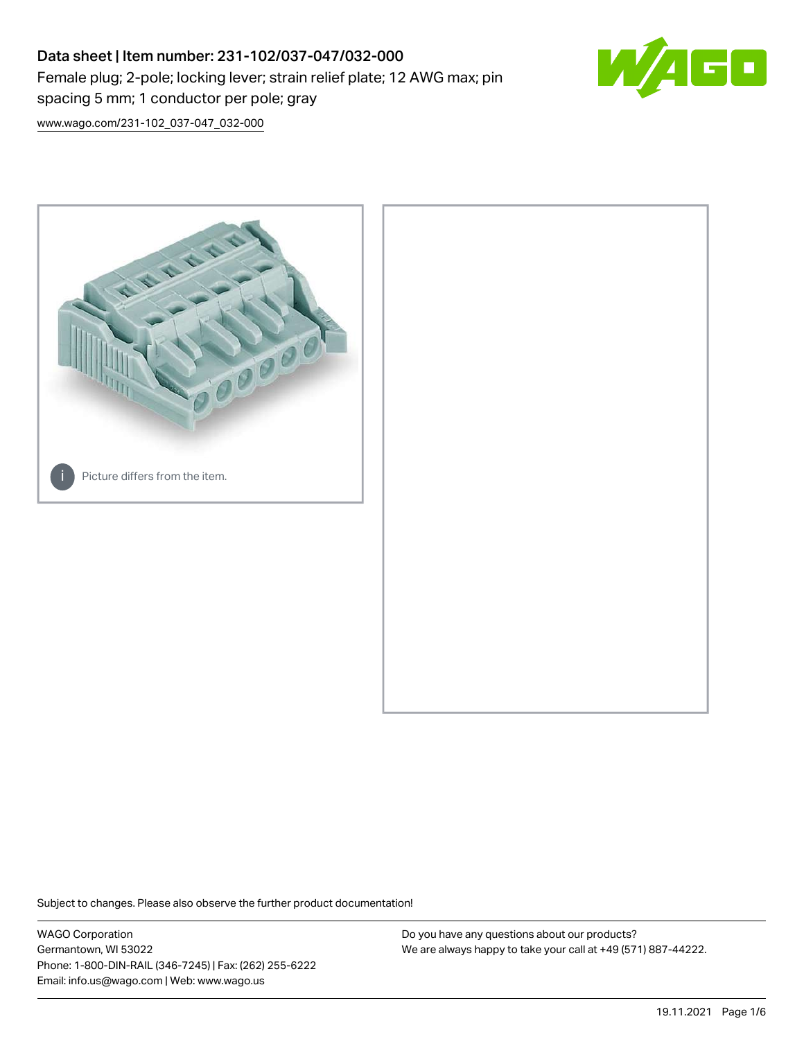# Data sheet | Item number: 231-102/037-047/032-000 Female plug; 2-pole; locking lever; strain relief plate; 12 AWG max; pin spacing 5 mm; 1 conductor per pole; gray



[www.wago.com/231-102\\_037-047\\_032-000](http://www.wago.com/231-102_037-047_032-000)



Subject to changes. Please also observe the further product documentation!

WAGO Corporation Germantown, WI 53022 Phone: 1-800-DIN-RAIL (346-7245) | Fax: (262) 255-6222 Email: info.us@wago.com | Web: www.wago.us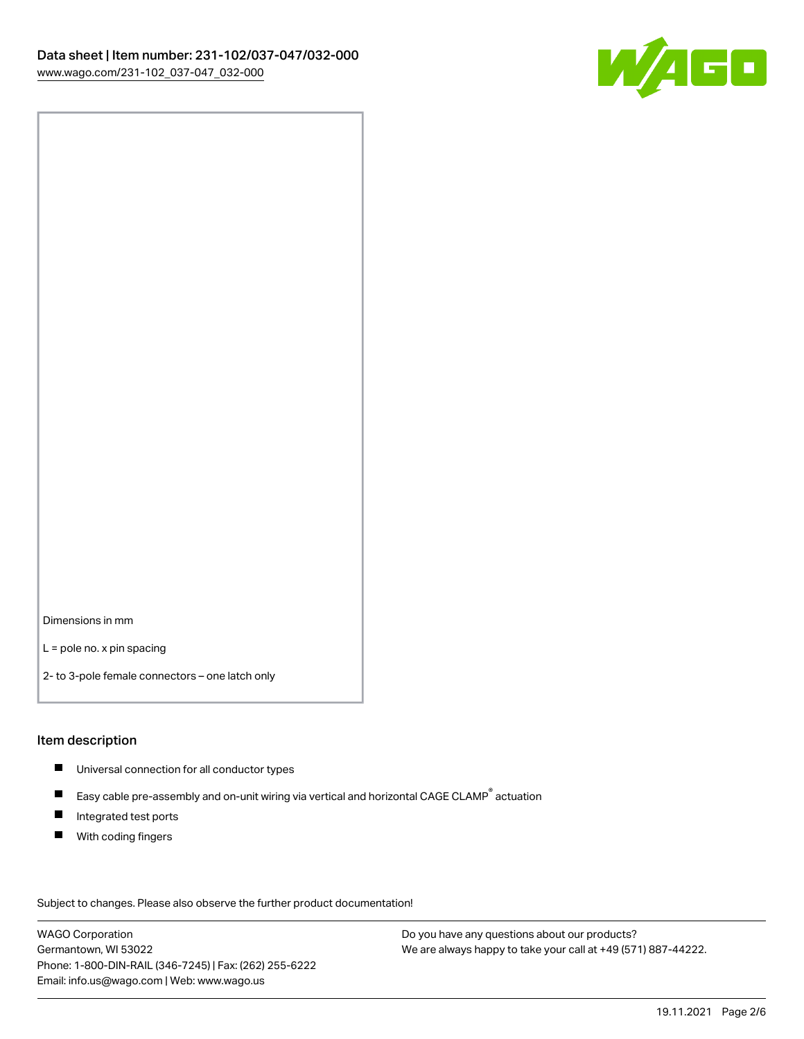

Dimensions in mm

L = pole no. x pin spacing

2- to 3-pole female connectors – one latch only

#### Item description

- **Universal connection for all conductor types**
- Easy cable pre-assembly and on-unit wiring via vertical and horizontal CAGE CLAMP<sup>®</sup> actuation  $\blacksquare$
- $\blacksquare$ Integrated test ports
- $\blacksquare$ With coding fingers

Subject to changes. Please also observe the further product documentation! Data

WAGO Corporation Germantown, WI 53022 Phone: 1-800-DIN-RAIL (346-7245) | Fax: (262) 255-6222 Email: info.us@wago.com | Web: www.wago.us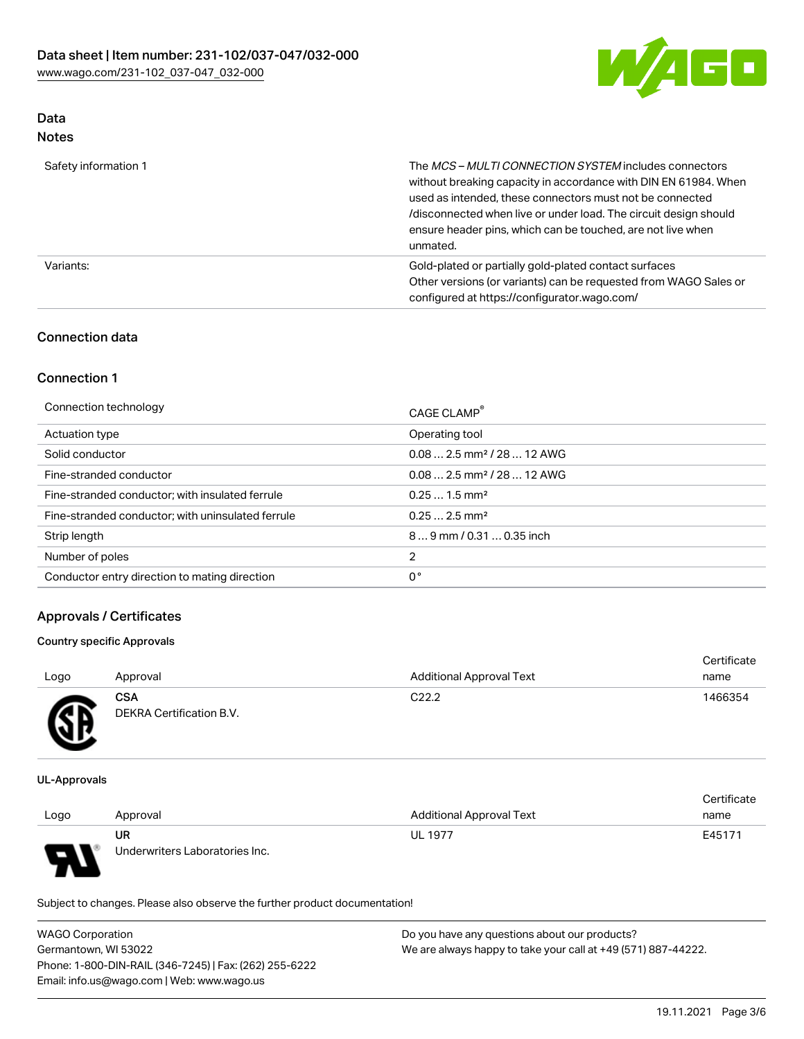

# Data

| Safety information 1 | The MCS-MULTI CONNECTION SYSTEM includes connectors<br>without breaking capacity in accordance with DIN EN 61984. When<br>used as intended, these connectors must not be connected<br>/disconnected when live or under load. The circuit design should<br>ensure header pins, which can be touched, are not live when<br>unmated. |
|----------------------|-----------------------------------------------------------------------------------------------------------------------------------------------------------------------------------------------------------------------------------------------------------------------------------------------------------------------------------|
| Variants:            | Gold-plated or partially gold-plated contact surfaces<br>Other versions (or variants) can be requested from WAGO Sales or<br>configured at https://configurator.wago.com/                                                                                                                                                         |

# Connection data

# Connection 1

| Connection technology                             | CAGE CLAMP <sup>®</sup>                |
|---------------------------------------------------|----------------------------------------|
| Actuation type                                    | Operating tool                         |
| Solid conductor                                   | $0.082.5$ mm <sup>2</sup> / 28  12 AWG |
| Fine-stranded conductor                           | $0.082.5$ mm <sup>2</sup> / 28  12 AWG |
| Fine-stranded conductor; with insulated ferrule   | $0.251.5$ mm <sup>2</sup>              |
| Fine-stranded conductor; with uninsulated ferrule | $0.252.5$ mm <sup>2</sup>              |
| Strip length                                      | $89$ mm / 0.31  0.35 inch              |
| Number of poles                                   | 2                                      |
| Conductor entry direction to mating direction     | 0°                                     |

# Approvals / Certificates

#### Country specific Approvals

| Logo | Approval                               | <b>Additional Approval Text</b> | Certificate<br>name |
|------|----------------------------------------|---------------------------------|---------------------|
| Æ    | <b>CSA</b><br>DEKRA Certification B.V. | C <sub>22.2</sub>               | 1466354             |

UL-Approvals

|                          |                                |                                 | Certificate |
|--------------------------|--------------------------------|---------------------------------|-------------|
| Logo                     | Approval                       | <b>Additional Approval Text</b> | name        |
|                          | UR                             | <b>UL 1977</b>                  | E45171      |
| $\overline{\phantom{0}}$ | Underwriters Laboratories Inc. |                                 |             |

Subject to changes. Please also observe the further product documentation!

| <b>WAGO Corporation</b>                                | Do you have any questions about our products?                 |
|--------------------------------------------------------|---------------------------------------------------------------|
| Germantown, WI 53022                                   | We are always happy to take your call at +49 (571) 887-44222. |
| Phone: 1-800-DIN-RAIL (346-7245)   Fax: (262) 255-6222 |                                                               |
| Email: info.us@wago.com   Web: www.wago.us             |                                                               |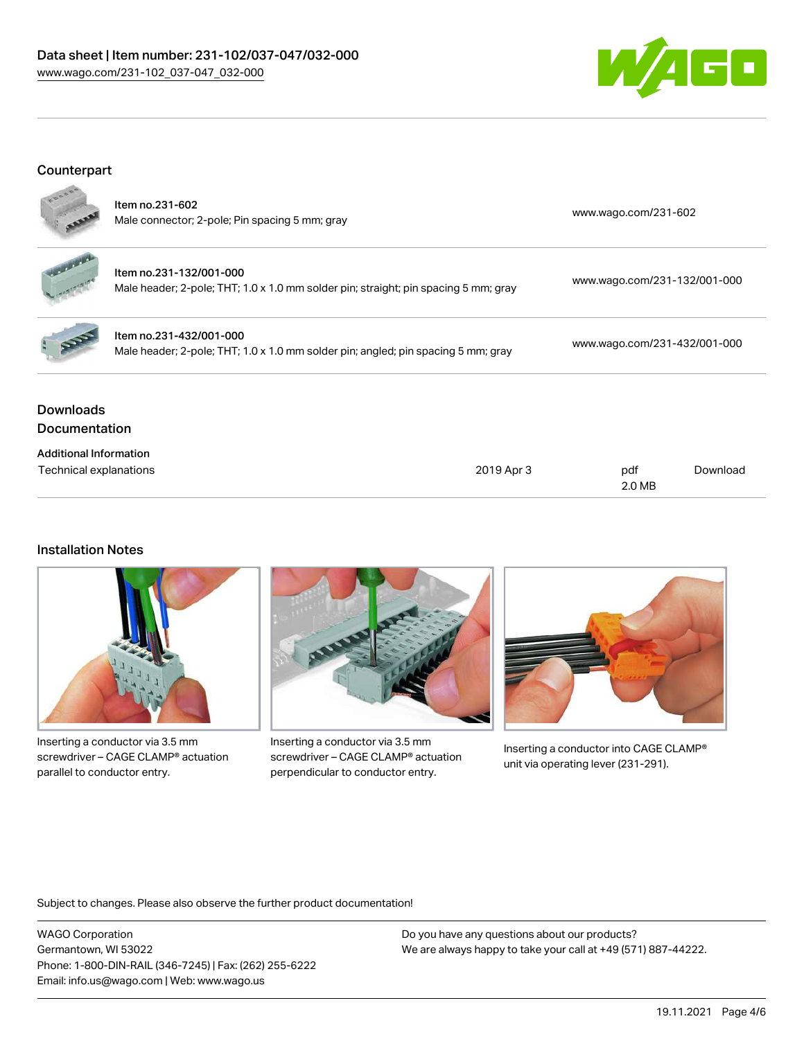# Data sheet | Item number: 231-102/037-047/032-000 [www.wago.com/231-102\\_037-047\\_032-000](http://www.wago.com/231-102_037-047_032-000)



# Counterpart



| <b>Downloads</b><br><b>Documentation</b> |                                                                                                                |                              |
|------------------------------------------|----------------------------------------------------------------------------------------------------------------|------------------------------|
|                                          | Item no.231-432/001-000<br>Male header; 2-pole; THT; 1.0 x 1.0 mm solder pin; angled; pin spacing 5 mm; gray   | www.wago.com/231-432/001-000 |
|                                          | Item no.231-132/001-000<br>Male header; 2-pole; THT; 1.0 x 1.0 mm solder pin; straight; pin spacing 5 mm; gray | www.wago.com/231-132/001-000 |
|                                          | Item no.231-602<br>Male connector; 2-pole; Pin spacing 5 mm; gray                                              | www.wago.com/231-602         |

| Auditional Information |            |        |          |
|------------------------|------------|--------|----------|
| Technical explanations | 2019 Apr 3 | pdf    | Download |
|                        |            | 2.0 MB |          |

#### Installation Notes

Additional Information



Inserting a conductor via 3.5 mm screwdriver – CAGE CLAMP® actuation parallel to conductor entry.



Inserting a conductor via 3.5 mm screwdriver – CAGE CLAMP® actuation perpendicular to conductor entry.



Inserting a conductor into CAGE CLAMP® unit via operating lever (231-291).

Subject to changes. Please also observe the further product documentation!

WAGO Corporation Germantown, WI 53022 Phone: 1-800-DIN-RAIL (346-7245) | Fax: (262) 255-6222 Email: info.us@wago.com | Web: www.wago.us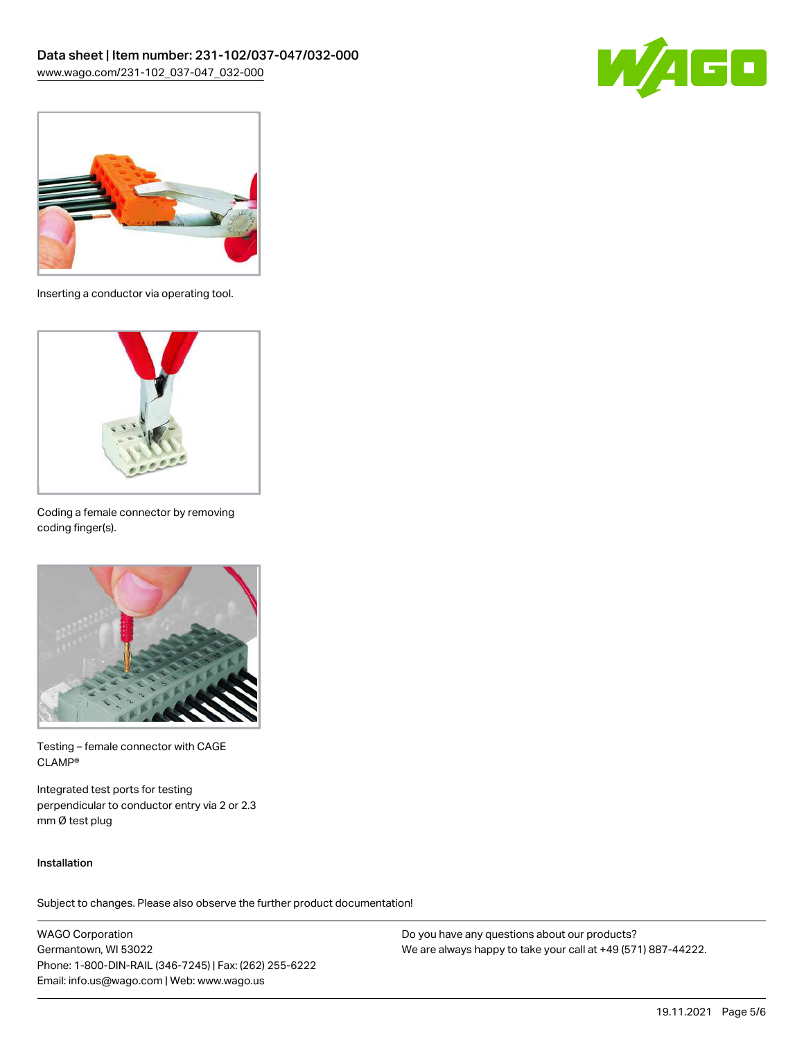



Inserting a conductor via operating tool.



Coding a female connector by removing coding finger(s).



Testing – female connector with CAGE CLAMP®

Integrated test ports for testing perpendicular to conductor entry via 2 or 2.3 mm Ø test plug

#### Installation

Subject to changes. Please also observe the further product documentation!

WAGO Corporation Germantown, WI 53022 Phone: 1-800-DIN-RAIL (346-7245) | Fax: (262) 255-6222 Email: info.us@wago.com | Web: www.wago.us